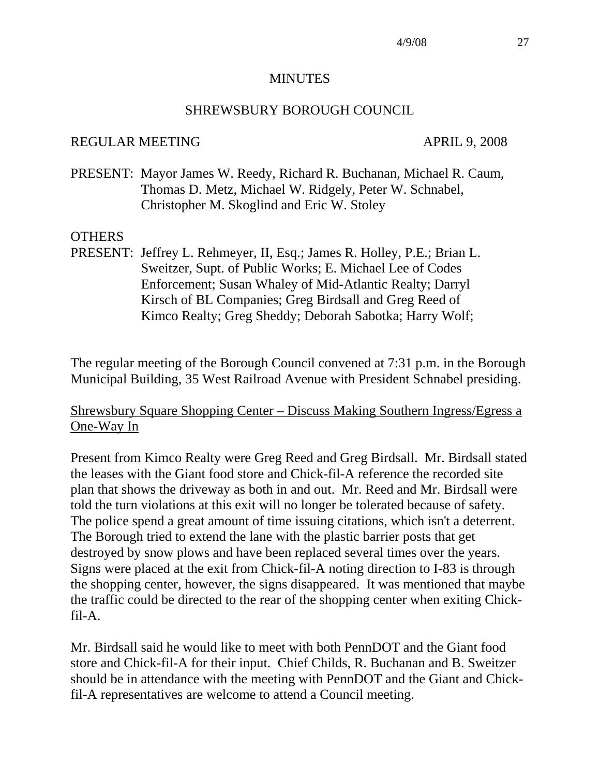#### **MINUTES**

#### SHREWSBURY BOROUGH COUNCIL

#### REGULAR MEETING APRIL 9, 2008

PRESENT: Mayor James W. Reedy, Richard R. Buchanan, Michael R. Caum, Thomas D. Metz, Michael W. Ridgely, Peter W. Schnabel, Christopher M. Skoglind and Eric W. Stoley

#### OTHERS

PRESENT: Jeffrey L. Rehmeyer, II, Esq.; James R. Holley, P.E.; Brian L. Sweitzer, Supt. of Public Works; E. Michael Lee of Codes Enforcement; Susan Whaley of Mid-Atlantic Realty; Darryl Kirsch of BL Companies; Greg Birdsall and Greg Reed of Kimco Realty; Greg Sheddy; Deborah Sabotka; Harry Wolf;

The regular meeting of the Borough Council convened at 7:31 p.m. in the Borough Municipal Building, 35 West Railroad Avenue with President Schnabel presiding.

#### Shrewsbury Square Shopping Center – Discuss Making Southern Ingress/Egress a One-Way In

Present from Kimco Realty were Greg Reed and Greg Birdsall. Mr. Birdsall stated the leases with the Giant food store and Chick-fil-A reference the recorded site plan that shows the driveway as both in and out. Mr. Reed and Mr. Birdsall were told the turn violations at this exit will no longer be tolerated because of safety. The police spend a great amount of time issuing citations, which isn't a deterrent. The Borough tried to extend the lane with the plastic barrier posts that get destroyed by snow plows and have been replaced several times over the years. Signs were placed at the exit from Chick-fil-A noting direction to I-83 is through the shopping center, however, the signs disappeared. It was mentioned that maybe the traffic could be directed to the rear of the shopping center when exiting Chickfil-A.

Mr. Birdsall said he would like to meet with both PennDOT and the Giant food store and Chick-fil-A for their input. Chief Childs, R. Buchanan and B. Sweitzer should be in attendance with the meeting with PennDOT and the Giant and Chickfil-A representatives are welcome to attend a Council meeting.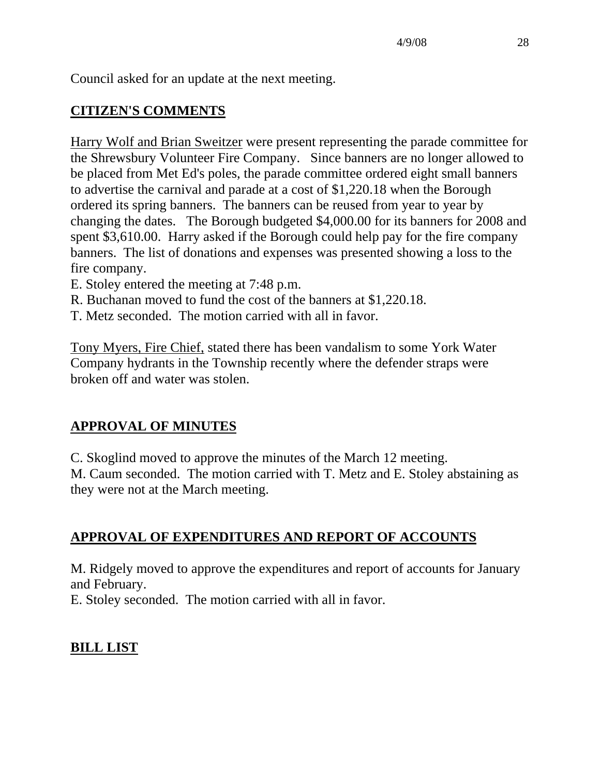Council asked for an update at the next meeting.

## **CITIZEN'S COMMENTS**

Harry Wolf and Brian Sweitzer were present representing the parade committee for the Shrewsbury Volunteer Fire Company. Since banners are no longer allowed to be placed from Met Ed's poles, the parade committee ordered eight small banners to advertise the carnival and parade at a cost of \$1,220.18 when the Borough ordered its spring banners. The banners can be reused from year to year by changing the dates. The Borough budgeted \$4,000.00 for its banners for 2008 and spent \$3,610.00. Harry asked if the Borough could help pay for the fire company banners. The list of donations and expenses was presented showing a loss to the fire company.

- E. Stoley entered the meeting at 7:48 p.m.
- R. Buchanan moved to fund the cost of the banners at \$1,220.18.
- T. Metz seconded. The motion carried with all in favor.

Tony Myers, Fire Chief, stated there has been vandalism to some York Water Company hydrants in the Township recently where the defender straps were broken off and water was stolen.

### **APPROVAL OF MINUTES**

C. Skoglind moved to approve the minutes of the March 12 meeting.

M. Caum seconded. The motion carried with T. Metz and E. Stoley abstaining as they were not at the March meeting.

### **APPROVAL OF EXPENDITURES AND REPORT OF ACCOUNTS**

M. Ridgely moved to approve the expenditures and report of accounts for January and February.

E. Stoley seconded. The motion carried with all in favor.

### **BILL LIST**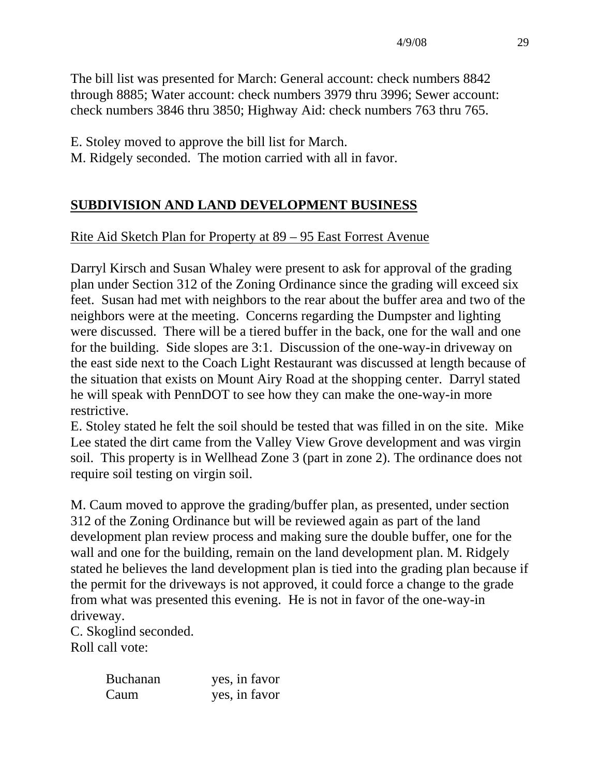The bill list was presented for March: General account: check numbers 8842 through 8885; Water account: check numbers 3979 thru 3996; Sewer account: check numbers 3846 thru 3850; Highway Aid: check numbers 763 thru 765.

E. Stoley moved to approve the bill list for March.

M. Ridgely seconded. The motion carried with all in favor.

# **SUBDIVISION AND LAND DEVELOPMENT BUSINESS**

# Rite Aid Sketch Plan for Property at 89 – 95 East Forrest Avenue

Darryl Kirsch and Susan Whaley were present to ask for approval of the grading plan under Section 312 of the Zoning Ordinance since the grading will exceed six feet. Susan had met with neighbors to the rear about the buffer area and two of the neighbors were at the meeting. Concerns regarding the Dumpster and lighting were discussed. There will be a tiered buffer in the back, one for the wall and one for the building. Side slopes are 3:1. Discussion of the one-way-in driveway on the east side next to the Coach Light Restaurant was discussed at length because of the situation that exists on Mount Airy Road at the shopping center. Darryl stated he will speak with PennDOT to see how they can make the one-way-in more restrictive.

E. Stoley stated he felt the soil should be tested that was filled in on the site. Mike Lee stated the dirt came from the Valley View Grove development and was virgin soil. This property is in Wellhead Zone 3 (part in zone 2). The ordinance does not require soil testing on virgin soil.

M. Caum moved to approve the grading/buffer plan, as presented, under section 312 of the Zoning Ordinance but will be reviewed again as part of the land development plan review process and making sure the double buffer, one for the wall and one for the building, remain on the land development plan. M. Ridgely stated he believes the land development plan is tied into the grading plan because if the permit for the driveways is not approved, it could force a change to the grade from what was presented this evening. He is not in favor of the one-way-in driveway.

C. Skoglind seconded. Roll call vote:

| <b>Buchanan</b> | yes, in favor |
|-----------------|---------------|
| Caum            | yes, in favor |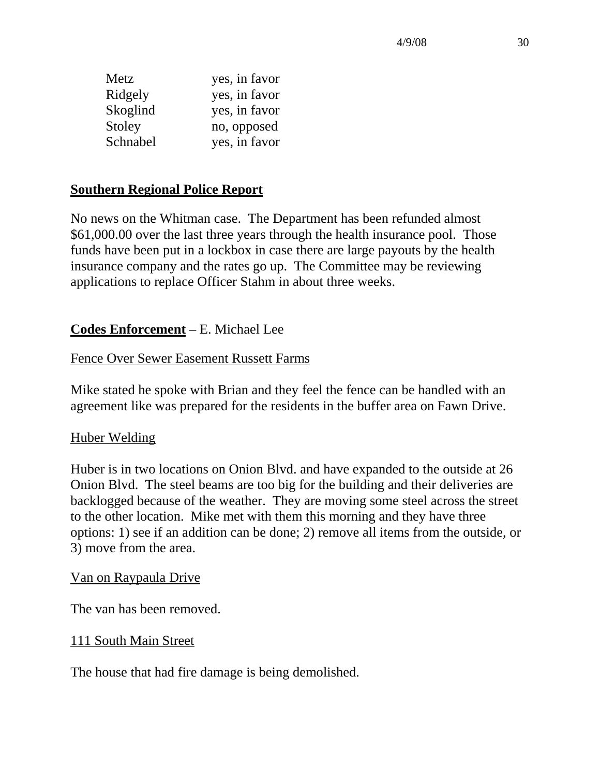4/9/08 30

| Metz     | yes, in favor |
|----------|---------------|
| Ridgely  | yes, in favor |
| Skoglind | yes, in favor |
| Stoley   | no, opposed   |
| Schnabel | yes, in favor |

#### **Southern Regional Police Report**

No news on the Whitman case. The Department has been refunded almost \$61,000.00 over the last three years through the health insurance pool. Those funds have been put in a lockbox in case there are large payouts by the health insurance company and the rates go up. The Committee may be reviewing applications to replace Officer Stahm in about three weeks.

#### **Codes Enforcement** – E. Michael Lee

#### Fence Over Sewer Easement Russett Farms

Mike stated he spoke with Brian and they feel the fence can be handled with an agreement like was prepared for the residents in the buffer area on Fawn Drive.

#### Huber Welding

Huber is in two locations on Onion Blvd. and have expanded to the outside at 26 Onion Blvd. The steel beams are too big for the building and their deliveries are backlogged because of the weather. They are moving some steel across the street to the other location. Mike met with them this morning and they have three options: 1) see if an addition can be done; 2) remove all items from the outside, or 3) move from the area.

#### Van on Raypaula Drive

The van has been removed.

#### 111 South Main Street

The house that had fire damage is being demolished.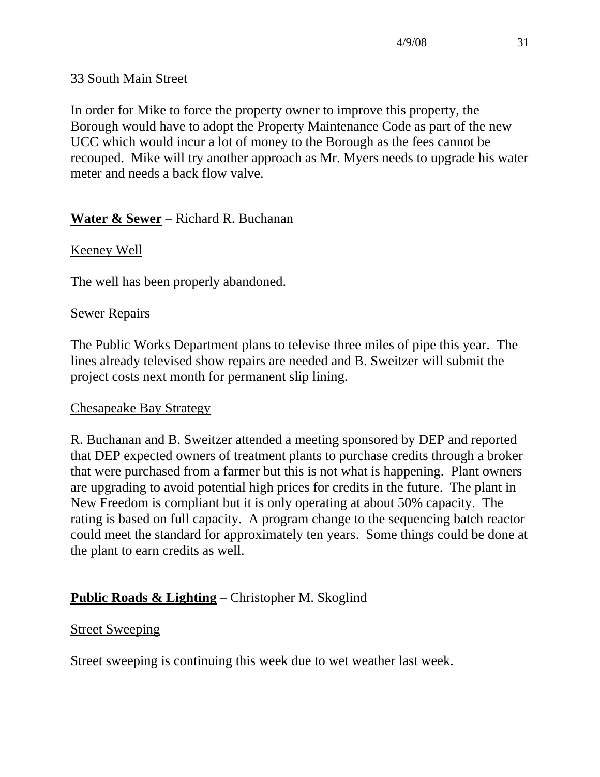### 33 South Main Street

In order for Mike to force the property owner to improve this property, the Borough would have to adopt the Property Maintenance Code as part of the new UCC which would incur a lot of money to the Borough as the fees cannot be recouped. Mike will try another approach as Mr. Myers needs to upgrade his water meter and needs a back flow valve.

### **Water & Sewer** – Richard R. Buchanan

#### Keeney Well

The well has been properly abandoned.

#### Sewer Repairs

The Public Works Department plans to televise three miles of pipe this year. The lines already televised show repairs are needed and B. Sweitzer will submit the project costs next month for permanent slip lining.

#### Chesapeake Bay Strategy

R. Buchanan and B. Sweitzer attended a meeting sponsored by DEP and reported that DEP expected owners of treatment plants to purchase credits through a broker that were purchased from a farmer but this is not what is happening. Plant owners are upgrading to avoid potential high prices for credits in the future. The plant in New Freedom is compliant but it is only operating at about 50% capacity. The rating is based on full capacity. A program change to the sequencing batch reactor could meet the standard for approximately ten years. Some things could be done at the plant to earn credits as well.

### **Public Roads & Lighting** – Christopher M. Skoglind

#### Street Sweeping

Street sweeping is continuing this week due to wet weather last week.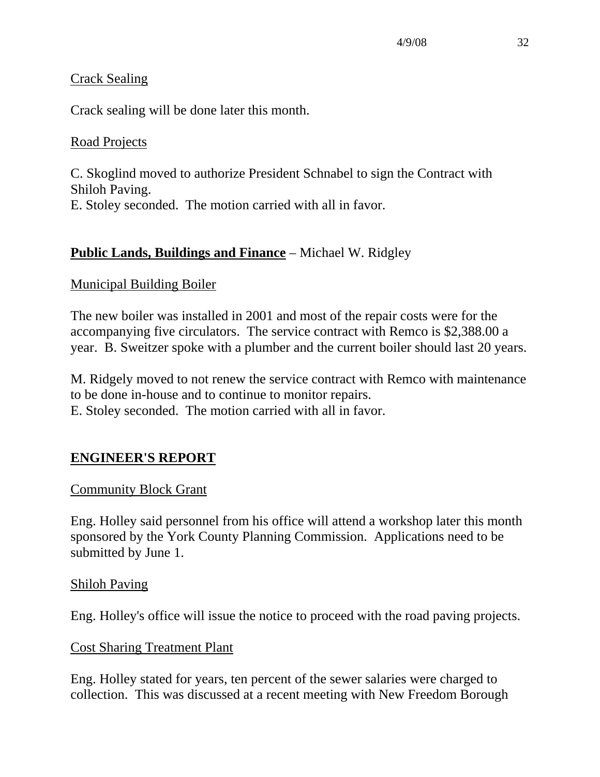#### Crack Sealing

Crack sealing will be done later this month.

### Road Projects

C. Skoglind moved to authorize President Schnabel to sign the Contract with Shiloh Paving. E. Stoley seconded. The motion carried with all in favor.

### **Public Lands, Buildings and Finance** – Michael W. Ridgley

#### Municipal Building Boiler

The new boiler was installed in 2001 and most of the repair costs were for the accompanying five circulators. The service contract with Remco is \$2,388.00 a year. B. Sweitzer spoke with a plumber and the current boiler should last 20 years.

M. Ridgely moved to not renew the service contract with Remco with maintenance to be done in-house and to continue to monitor repairs. E. Stoley seconded. The motion carried with all in favor.

### **ENGINEER'S REPORT**

### Community Block Grant

Eng. Holley said personnel from his office will attend a workshop later this month sponsored by the York County Planning Commission. Applications need to be submitted by June 1.

#### Shiloh Paving

Eng. Holley's office will issue the notice to proceed with the road paving projects.

#### Cost Sharing Treatment Plant

Eng. Holley stated for years, ten percent of the sewer salaries were charged to collection. This was discussed at a recent meeting with New Freedom Borough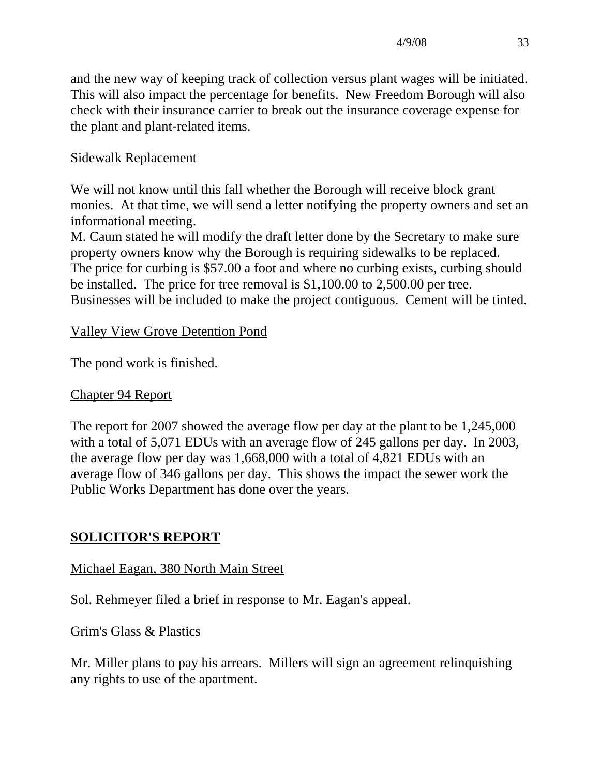and the new way of keeping track of collection versus plant wages will be initiated. This will also impact the percentage for benefits. New Freedom Borough will also check with their insurance carrier to break out the insurance coverage expense for the plant and plant-related items.

### Sidewalk Replacement

We will not know until this fall whether the Borough will receive block grant monies. At that time, we will send a letter notifying the property owners and set an informational meeting.

M. Caum stated he will modify the draft letter done by the Secretary to make sure property owners know why the Borough is requiring sidewalks to be replaced. The price for curbing is \$57.00 a foot and where no curbing exists, curbing should be installed. The price for tree removal is \$1,100.00 to 2,500.00 per tree. Businesses will be included to make the project contiguous. Cement will be tinted.

#### Valley View Grove Detention Pond

The pond work is finished.

#### Chapter 94 Report

The report for 2007 showed the average flow per day at the plant to be 1,245,000 with a total of 5,071 EDUs with an average flow of 245 gallons per day. In 2003, the average flow per day was 1,668,000 with a total of 4,821 EDUs with an average flow of 346 gallons per day. This shows the impact the sewer work the Public Works Department has done over the years.

### **SOLICITOR'S REPORT**

#### Michael Eagan, 380 North Main Street

Sol. Rehmeyer filed a brief in response to Mr. Eagan's appeal.

Grim's Glass & Plastics

Mr. Miller plans to pay his arrears. Millers will sign an agreement relinquishing any rights to use of the apartment.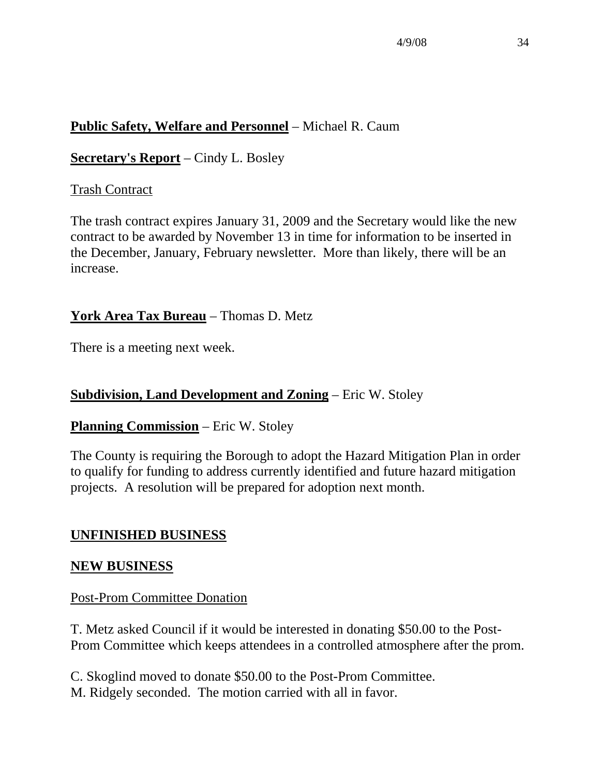## **Public Safety, Welfare and Personnel** – Michael R. Caum

**Secretary's Report** – Cindy L. Bosley

### Trash Contract

The trash contract expires January 31, 2009 and the Secretary would like the new contract to be awarded by November 13 in time for information to be inserted in the December, January, February newsletter. More than likely, there will be an increase.

### **York Area Tax Bureau** – Thomas D. Metz

There is a meeting next week.

### **Subdivision, Land Development and Zoning** – Eric W. Stoley

#### **Planning Commission** – Eric W. Stoley

The County is requiring the Borough to adopt the Hazard Mitigation Plan in order to qualify for funding to address currently identified and future hazard mitigation projects. A resolution will be prepared for adoption next month.

### **UNFINISHED BUSINESS**

#### **NEW BUSINESS**

#### Post-Prom Committee Donation

T. Metz asked Council if it would be interested in donating \$50.00 to the Post-Prom Committee which keeps attendees in a controlled atmosphere after the prom.

C. Skoglind moved to donate \$50.00 to the Post-Prom Committee. M. Ridgely seconded. The motion carried with all in favor.